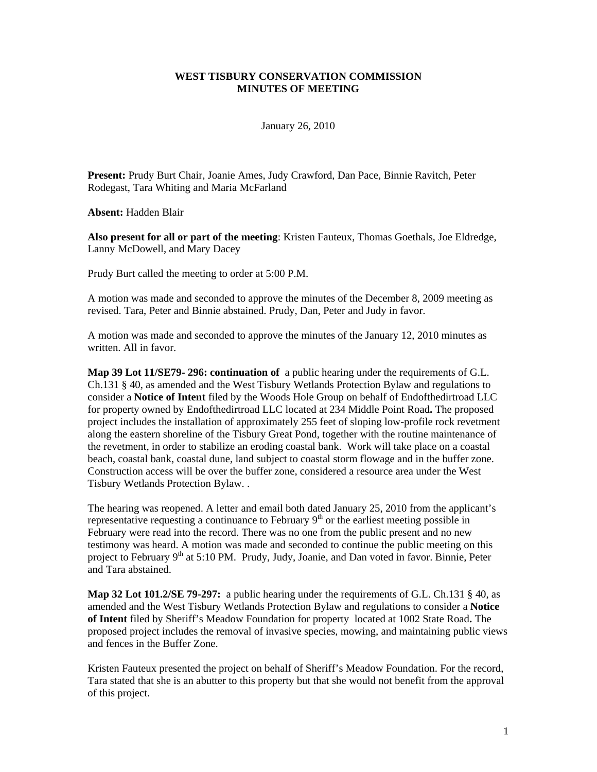## **WEST TISBURY CONSERVATION COMMISSION MINUTES OF MEETING**

January 26, 2010

**Present:** Prudy Burt Chair, Joanie Ames, Judy Crawford, Dan Pace, Binnie Ravitch, Peter Rodegast, Tara Whiting and Maria McFarland

**Absent:** Hadden Blair

**Also present for all or part of the meeting**: Kristen Fauteux, Thomas Goethals, Joe Eldredge, Lanny McDowell, and Mary Dacey

Prudy Burt called the meeting to order at 5:00 P.M.

A motion was made and seconded to approve the minutes of the December 8, 2009 meeting as revised. Tara, Peter and Binnie abstained. Prudy, Dan, Peter and Judy in favor.

A motion was made and seconded to approve the minutes of the January 12, 2010 minutes as written. All in favor.

**Map 39 Lot 11/SE79- 296: continuation of** a public hearing under the requirements of G.L. Ch.131 § 40, as amended and the West Tisbury Wetlands Protection Bylaw and regulations to consider a **Notice of Intent** filed by the Woods Hole Group on behalf of Endofthedirtroad LLC for property owned by Endofthedirtroad LLC located at 234 Middle Point Road**.** The proposed project includes the installation of approximately 255 feet of sloping low-profile rock revetment along the eastern shoreline of the Tisbury Great Pond, together with the routine maintenance of the revetment, in order to stabilize an eroding coastal bank. Work will take place on a coastal beach, coastal bank, coastal dune, land subject to coastal storm flowage and in the buffer zone. Construction access will be over the buffer zone, considered a resource area under the West Tisbury Wetlands Protection Bylaw. .

The hearing was reopened. A letter and email both dated January 25, 2010 from the applicant's representative requesting a continuance to February  $9<sup>th</sup>$  or the earliest meeting possible in February were read into the record. There was no one from the public present and no new testimony was heard. A motion was made and seconded to continue the public meeting on this project to February 9<sup>th</sup> at 5:10 PM. Prudy, Judy, Joanie, and Dan voted in favor. Binnie, Peter and Tara abstained.

**Map 32 Lot 101.2/SE 79-297:** a public hearing under the requirements of G.L. Ch.131 § 40, as amended and the West Tisbury Wetlands Protection Bylaw and regulations to consider a **Notice of Intent** filed by Sheriff's Meadow Foundation for property located at 1002 State Road**.** The proposed project includes the removal of invasive species, mowing, and maintaining public views and fences in the Buffer Zone.

Kristen Fauteux presented the project on behalf of Sheriff's Meadow Foundation. For the record, Tara stated that she is an abutter to this property but that she would not benefit from the approval of this project.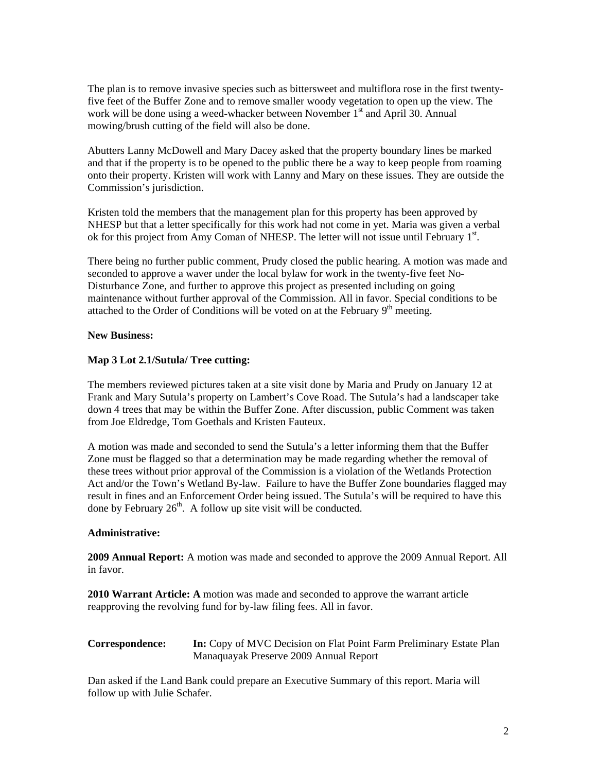The plan is to remove invasive species such as bittersweet and multiflora rose in the first twentyfive feet of the Buffer Zone and to remove smaller woody vegetation to open up the view. The work will be done using a weed-whacker between November 1<sup>st</sup> and April 30. Annual mowing/brush cutting of the field will also be done.

Abutters Lanny McDowell and Mary Dacey asked that the property boundary lines be marked and that if the property is to be opened to the public there be a way to keep people from roaming onto their property. Kristen will work with Lanny and Mary on these issues. They are outside the Commission's jurisdiction.

Kristen told the members that the management plan for this property has been approved by NHESP but that a letter specifically for this work had not come in yet. Maria was given a verbal ok for this project from Amy Coman of NHESP. The letter will not issue until February 1<sup>st</sup>.

There being no further public comment, Prudy closed the public hearing. A motion was made and seconded to approve a waver under the local bylaw for work in the twenty-five feet No-Disturbance Zone, and further to approve this project as presented including on going maintenance without further approval of the Commission. All in favor. Special conditions to be attached to the Order of Conditions will be voted on at the February  $9<sup>th</sup>$  meeting.

## **New Business:**

## **Map 3 Lot 2.1/Sutula/ Tree cutting:**

The members reviewed pictures taken at a site visit done by Maria and Prudy on January 12 at Frank and Mary Sutula's property on Lambert's Cove Road. The Sutula's had a landscaper take down 4 trees that may be within the Buffer Zone. After discussion, public Comment was taken from Joe Eldredge, Tom Goethals and Kristen Fauteux.

A motion was made and seconded to send the Sutula's a letter informing them that the Buffer Zone must be flagged so that a determination may be made regarding whether the removal of these trees without prior approval of the Commission is a violation of the Wetlands Protection Act and/or the Town's Wetland By-law. Failure to have the Buffer Zone boundaries flagged may result in fines and an Enforcement Order being issued. The Sutula's will be required to have this done by February  $26<sup>th</sup>$ . A follow up site visit will be conducted.

#### **Administrative:**

**2009 Annual Report:** A motion was made and seconded to approve the 2009 Annual Report. All in favor.

**2010 Warrant Article: A** motion was made and seconded to approve the warrant article reapproving the revolving fund for by-law filing fees. All in favor.

# **Correspondence:** In: Copy of MVC Decision on Flat Point Farm Preliminary Estate Plan Manaquayak Preserve 2009 Annual Report

Dan asked if the Land Bank could prepare an Executive Summary of this report. Maria will follow up with Julie Schafer.